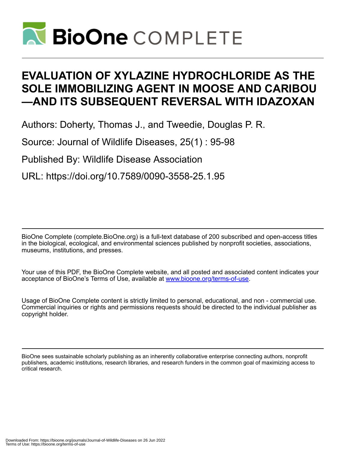

# **EVALUATION OF XYLAZINE HYDROCHLORIDE AS THE SOLE IMMOBILIZING AGENT IN MOOSE AND CARIBOU —AND ITS SUBSEQUENT REVERSAL WITH IDAZOXAN**

Authors: Doherty, Thomas J., and Tweedie, Douglas P. R.

Source: Journal of Wildlife Diseases, 25(1) : 95-98

Published By: Wildlife Disease Association

URL: https://doi.org/10.7589/0090-3558-25.1.95

BioOne Complete (complete.BioOne.org) is a full-text database of 200 subscribed and open-access titles in the biological, ecological, and environmental sciences published by nonprofit societies, associations, museums, institutions, and presses.

Your use of this PDF, the BioOne Complete website, and all posted and associated content indicates your acceptance of BioOne's Terms of Use, available at www.bioone.org/terms-of-use.

Usage of BioOne Complete content is strictly limited to personal, educational, and non - commercial use. Commercial inquiries or rights and permissions requests should be directed to the individual publisher as copyright holder.

BioOne sees sustainable scholarly publishing as an inherently collaborative enterprise connecting authors, nonprofit publishers, academic institutions, research libraries, and research funders in the common goal of maximizing access to critical research.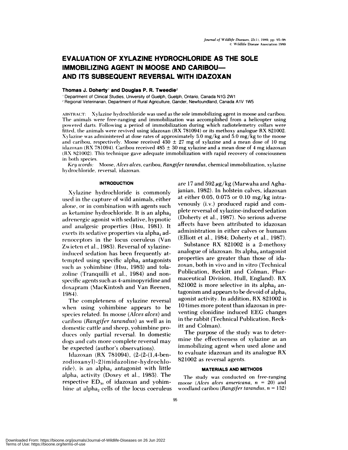# **EVALUATION OF XYLAZINE HYDROCHLORIDE AS THE SOLE IMMOBILIZING AGENT IN MOOSE AND CARIBOU-AND ITS SUBSEQUENT REVERSAL WITH IDAZOXAN**

# **Thomas J.** Doherty **and Douglas P. R. Tweedie2**

Department of Clinical Studies, University of Guelph, Guelph, Ontario, Canada N1G 2W1

"Regional Veterinarian, Department of Rural Agriculture, Gander, Newfoundland, Canada A1V 1W5

ABSTRACT: Xvlazine hydrochloride was used as the sole immobilizing agent in moose and caribou. The animals were free-ranging and immobilization was accomplished from a helicopter using powered darts. Following a period of immobilization during which radiotelemetry collars were fitted, the animals were revived using idazoxan (RX 781094) or its methoxy analogue RX 821002. Xvlazine was administered at dose rates of approximately 3.0 mg/kg and 5.0 mg/kg to the moose and caribou, respectively. Moose received  $430 \pm 27$  mg of xylazine and a mean dose of 10 mg idazoxan (RX 781094). Caribou received  $485 \pm 30$  mg xylazine and a mean dose of 4 mg idazoxan (IIX 821002). This technique gave adequate immobilization with rapid recovery of consciousness in both species.

*Key words:* Moose, *Alces alces,* caribou, *Ran gifer tarandus,* chemical immobilization, xvlazine hydrochloride, reversal, idazoxan.

# **INTRODUCTION**

X vlazine hydrochloride is commonly used in the capture of wild animals, either alone, or in combination with agents such as ketamine hydrochloride. It is an alpha<sub>2</sub> adrenergic agonist with sedative, hypnotic and analgesic properties (Hsu, 1981). It exerts its sedative properties via alpha<sub>2</sub> adrenoceptors in the locus coeruleus (Van Zwieten et al., 1983). Reversal of xylazineinduced sedation has been frequently attempted using specific alpha<sub>2</sub> antagonists such as vohimbine (Hsu, 1983) and tolazoline (Tranquilli et al., 1984) and non specific agents such as 4-aminopyridine and doxapram (MacKintosh and Van Reenen, 1984).

The completeness of xylazine reversal when using vohimbine appears to be species related. In moose *(Alces aices)* and caribou *(Rangifer tarandus)* as well as in domestic cattle and sheep, yohimbine produces only partial reversal. In domestic dogs and cats more complete reversal may be expected (author's observations).

ldazoxan (RX 781094), (2-(2-(1 ,4-benzodioxanyl)-2)imidazoline-hydrochloride), is an alpha<sub>2</sub> antagonist with little alpha, activity (Doxey et al., 1983). The respective  $ED_{50}$  of idazoxan and yohimbine at alpha, cells of the locus coeruleus are 17 and 592  $\mu$ g/kg (Marwaha and Aghajanian, 1982). In holstein calves, idazoxan at either 0.05, 0.075 or 0.10 mg/kg intravenously (i.v.) produced rapid and complete reversal of xylazine-induced sedation (Doherty et al., 1987). No serious adverse affects have been attributed to idazoxan administration in either calves or humans (Elliott et al., 1984; Doherty et al., 1987).

Substance RX 821002 is a 2-methoxy analogue of idazoxan. Its alpha, antagonist properties are greater than those of idazoxan, both in vivo and in vitro (Technical Publication, Reckitt and Colman, Pharmaceutical Division, Hull, England). RX  $821002$  is more selective in its alpha, antagonism and appears to be devoid of alpha<sub>1</sub> agonist activity. In addition, RX 821002 is 10 times more potent than idazoxan in preventing clonidine induced EEG changes in the rabbit (Technical Publication, Reckitt and Colman).

The purpose of the study was to determine the effectiveness of xylazine as an immobilizing agent when used alone and to evaluate idazoxan and its analogue RX 821002 as reversal agents.

# **MATERIALS AND METHODS**

The study was conducted on free-ranging moose *(Alces alces americana, n* <sup>=</sup> 20) and woodland caribou *(Rangifer tarandus, n* = 132)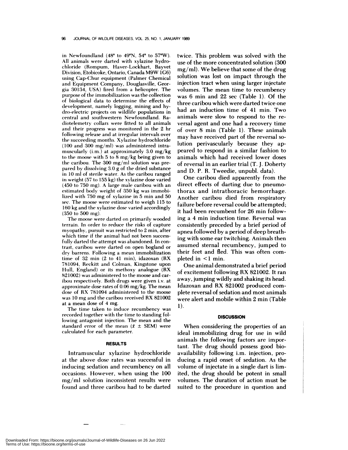in Newfoundland (48 $^{\circ}$  to 49 $^{\circ}$ N, 54 $^{\circ}$  to 57 $^{\circ}$ W). All animals were darted with xylazine hydro chloride (Rompum, Haver-Lockhart, Bayvet Division, Etobicoke, Ontario, Canada M9W 1G6) using Cap-Chur equipment (Palmer Chemical and Equipment Company, Douglasville, Georgia 30134, USA) fired from a helicopter. The **purpose of** the immobilization was the collection of biological data to determine the effects of **development,** namely logging, mining and hy dro-electric projects on wildlife populations in central and southwestern Newfoundland. Ra diotelemetry collars were fitted to all animals and their progress was monitored in the 2 hr following release and at irregular intervals over the succeeding months. Xylazine hydrochloride (100 and 300 mg/ml) was administered intramuscularly  $(i.m.)$  at approximately 3.0 mg/kg to the moose with 5 to 8 mg/kg being given to the caribou. The 300 mg/ml solution was pre pared by dissolving 3.0 g of the dried substance in 10 ml of sterile water. As the caribou ranged in weight (57 to 155 kg) the xylazine dose varied (450 to 750 mg). A large male caribou with an estimated body weight of 350 kg was immobilized with  $750$  mg of xylazine in  $5$  min and  $50$ sec. The moose were estimated to weigh 115 to 160 kg and the xylazine dose varied accordingly (350 to 500 mg).

The moose were darted on primarily wooded terrain. In order to reduce the risks of capture myopathy, pursuit was restricted to 2 min, after which time if the animal had not been successfully darted the attempt was abandoned. In contrast, caribou were darted on open bogland or dry barrens. Following a mean immobilization time of  $32$  min (2 to  $41$  min), idazoxan (RX 781094, Reckitt and Colman, Kingstone upon Hull, England) or its methoxy analogue (RX 821002) was administered to the moose and caribou respectively. Both drugs were given i.v. at approximate dose rates of 0.06 mg/kg. The mean dose of RX 781094 administered to the moose was 10 mg and the caribou received RX 821002 at a mean dose of 4 mg.

The time taken to induce recumbency was recorded together with the time to standing following antagonist injection. The mean and the standard error of the mean ( $\bar{x} \pm \text{SEM}$ ) were calculated for each parameter.

#### **RESULTS**

Intramuscular xylazine hydrochloride at the above dose rates was successful in inducing sedation and recumbency on all occasions. However, when using the 100 mg/ml solution inconsistent results were found and three caribou had to be darted

twice. This problem was solved with the use of the more concentrated solution (300  $mg/ml$ ). We believe that some of the drug solution was lost on impact through the injection tract when using larger injectate volumes. The mean time to recumbency was 6 min and 22 sec (Table 1). Of the three caribou which were darted twice one had an induction time of 41 min. Two animals were slow to respond to the re versal agent and one had a recovery time of over 8 min (Table 1). These animals may have received part of the reversal solution perivascularly because they appeared to respond in a similar fashion to animals which had received lower doses of reversal in an earlier trial (T. J. Doherty and D. P. R. Tweedie, unpubl. data).

One caribou died apparently from the direct effects of darting due to pneumothorax and intrathoracic hemorrhage. Another caribou died from respiratory failure before reversal could be attempted; it had been recumbent for 26 min following a 4 min induction time. Reversal was consistently preceded by a brief period of apnea followed by a period of deep breathing with some ear twitching. Animals then assumed sternal recumbency, jumped to their feet and fled. This was often com pleted in  $\leq 1$  min.

One animal demonstrated a brief period of excitement following RX 821002. It ran away, jumping wildly and shaking its head. Idazoxan and RX 821002 produced com plete reversal of sedation and most animals were alert and mobile within 2 min (Table 1).

#### **DISCUSSION**

When considering the properties of an ideal immobilizing drug for use in wild animals the following factors are important. The drug should possess good bioavailability following i.m. injection, producing a rapid onset of sedation. As the volume of injectate in a single dart is limited, the drug should be potent in small volumes. The duration of action must be suited to the procedure in question and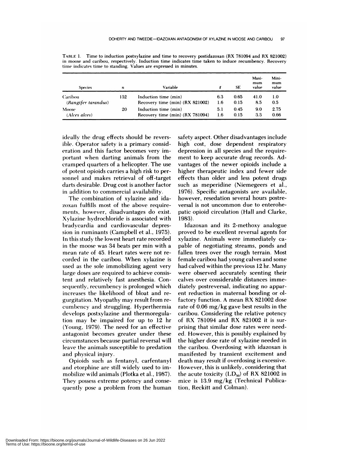| <b>Species</b>                               | n                    | Variable                        |      | SE   | Maxi-<br>mum<br>value | Mini-<br>mum<br>value |
|----------------------------------------------|----------------------|---------------------------------|------|------|-----------------------|-----------------------|
| <b>Caribou</b><br>132<br>(Rangifer tarandus) |                      | Induction time (min)            | 6.3  | 0.65 | 41.0                  | 1.0                   |
|                                              |                      | Recovery time (min) (RX 821002) | 1.6  | 0.15 | 8.5                   | 0.5                   |
| 20<br>Moose<br>(Alces alces)                 | Induction time (min) | 5.1                             | 0.45 | 9.0  | 2.75                  |                       |
|                                              |                      | Recovery time (min) (RX 781094) | 1.6  | 0.15 | 3.3                   | 0.66                  |

TABLE 1. Time to induction postxylazine and time to recovery postidazoxan (RX 781094 and RX 821002) in moose and caribou, respectively. Induction time indicates time taken to induce recumbency. Recovery time indicates time to standing. Values are expressed in minutes.

ideally the drug effects should be reversible. Operator safety is a primary consideration and this factor becomes very important when darting animals from the cramped quarters of a helicopter. The use of potent opioids carries a high risk to personnel and makes retrieval of off-target darts desirable. Drug cost is another factor in addition to commercial availability.

The combination of xylazine and ida zoxan fulfills most of the above requirements, however, disadvantages do exist. Xylazine hydrochloride is associated with bradycardia and cardiovascular depression in ruminants (Campbell et al., 1975). In this study the lowest heart rate recorded in the moose was 34 beats per min with a mean rate of 45. Heart rates were not re corded in the caribou. When xylazine is used as the sole immobilizing agent very large doses are required to achieve consistent and relatively fast anesthesia. Consequently, recumbency is prolonged which increases the likelihood of bloat and re gurgitation. Myopathy may result from re cumbency and struggling. Hyperthermia develops postxylazine and thermoregulation may be impaired for up to 12 hr (Young, 1979). The need for an effective antagonist becomes greater under these circumstances because partial reversal will leave the animals susceptible to predation and physical injury.

Opioids such as fentanyl, carfentanyl and etorphine are still widely used to immobilize wild animals (Plotka et al., 1987). They possess extreme potency and conse quently pose a problem from the human safety aspect. Other disadvantages include high cost, dose dependent respiratory depression in all species and the requirement to keep accurate drug records. Advantages of the newer opioids include a higher therapeutic index and fewer side effects than older and less potent drugs such as meperidine (Niemegeers et al., 1976). Specific antagonists are available, however, resedation several hours postreversal is not uncommon due to enterohepatic opioid circulation (Hall and Clarke, 1983).

Idazoxan and its 2-methoxy analogue **proved** to be excellent reversal agents for xylazine. Animals were immediately ca pable of negotiating streams, ponds and fallen trees over the rough terrain. Most female caribou had young calves and some had calved within the previous 12 hr. Many were observed accurately scenting their calves over considerable distances immediately postreversal, indicating no apparent reduction in maternal bonding or olfactory function. A mean RX 821002 dose rate of 0.06 mg/kg gave best results in the caribou. Considering the relative potency of RX 781094 and RX 821002 it is sur prising that similar dose rates were needed. However, this is possibly explained by the higher dose rate of xylazine needed in the caribou. Overdosing with idazoxan is manifested by transient excitement and death may result if overdosing is excessive. However, this is unlikely, considering that the acute toxicity  $(LD_{50})$  of RX 821002 in mice is 13.9 mg/kg (Technical Publication, Reckitt and Colman).